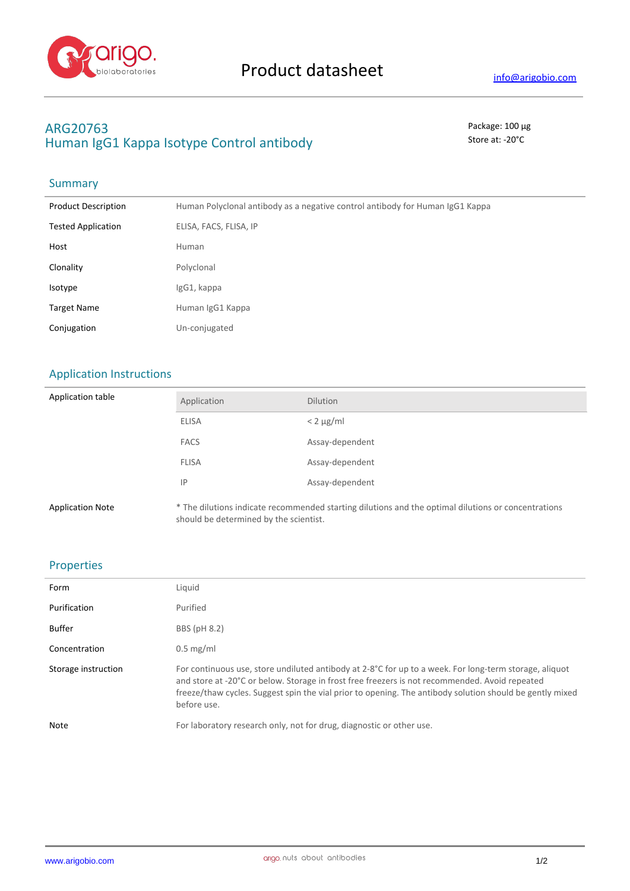

# **ARG20763** Package: 100 μg Human IgG1 Kappa Isotype Control antibody Store at: -20°C

#### **Summary**

| <b>Product Description</b> | Human Polyclonal antibody as a negative control antibody for Human IgG1 Kappa |
|----------------------------|-------------------------------------------------------------------------------|
| <b>Tested Application</b>  | ELISA, FACS, FLISA, IP                                                        |
| Host                       | Human                                                                         |
| Clonality                  | Polyclonal                                                                    |
| Isotype                    | IgG1, kappa                                                                   |
| <b>Target Name</b>         | Human IgG1 Kappa                                                              |
| Conjugation                | Un-conjugated                                                                 |

# Application Instructions

| Application table       | Application                            | <b>Dilution</b>                                                                                     |
|-------------------------|----------------------------------------|-----------------------------------------------------------------------------------------------------|
|                         | ELISA                                  | $< 2 \mu g/ml$                                                                                      |
|                         | <b>FACS</b>                            | Assay-dependent                                                                                     |
|                         | <b>FLISA</b>                           | Assay-dependent                                                                                     |
|                         | IP                                     | Assay-dependent                                                                                     |
| <b>Application Note</b> | should be determined by the scientist. | * The dilutions indicate recommended starting dilutions and the optimal dilutions or concentrations |

### Properties

| Form                | Liquid                                                                                                                                                                                                                                                                                                                                       |
|---------------------|----------------------------------------------------------------------------------------------------------------------------------------------------------------------------------------------------------------------------------------------------------------------------------------------------------------------------------------------|
| Purification        | Purified                                                                                                                                                                                                                                                                                                                                     |
| Buffer              | BBS (pH 8.2)                                                                                                                                                                                                                                                                                                                                 |
| Concentration       | $0.5$ mg/ml                                                                                                                                                                                                                                                                                                                                  |
| Storage instruction | For continuous use, store undiluted antibody at $2-8^{\circ}C$ for up to a week. For long-term storage, aliquot<br>and store at -20°C or below. Storage in frost free freezers is not recommended. Avoid repeated<br>freeze/thaw cycles. Suggest spin the vial prior to opening. The antibody solution should be gently mixed<br>before use. |
| Note                | For laboratory research only, not for drug, diagnostic or other use.                                                                                                                                                                                                                                                                         |